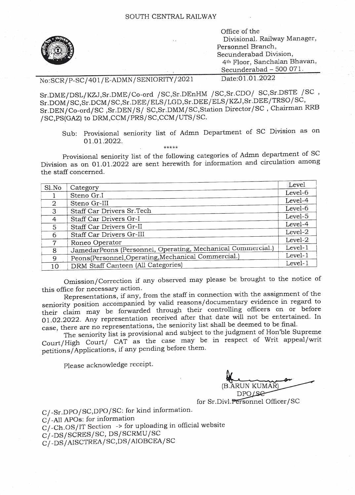

Office of the Divisional. Railway Manager, Personnel Branch, Secunderabad Division, 4th Floor, Sanchalan Bhavan, Secunderabad – 500 071.<br>Date:01.01.2022

No:SCR/P-SC/401/E-ADMN/SENIORITY/2021

Sr.DME/DSL/KZJ,Sr.DME/Co-ord /SC,Sr.DEnHM /SC,Sr.CD0/ SC,Sr.DSTE /sC Sr.DOM/SC,Sr.DCM/SC,Sr.DEE/ELS/LGD,Sr.DEE/ELS/KZJ,Sr.DEE/TRSO/SC, Sr.DEN/Co-ord/SC ,Sr.DEN/S/ SC,Sr.DMM/SC,Station Director/SC , Chairman RRB /SC,PS(GAZ) to DRM,COM/PRS/SC,CCM/UTS/SC.

Sub: Provisional seniority list of Admn Department of SC Division as on 01.01.2022.

Provisional seniority list of the following categories of Admn department of SC Division as on 01.01.2022 are sent herewith for information and circulation among the staff concerned.

|                | Level                                                                                                                                                                                                                                                                                                            |
|----------------|------------------------------------------------------------------------------------------------------------------------------------------------------------------------------------------------------------------------------------------------------------------------------------------------------------------|
|                | Level-6                                                                                                                                                                                                                                                                                                          |
|                | Level-4                                                                                                                                                                                                                                                                                                          |
|                | Level-6                                                                                                                                                                                                                                                                                                          |
|                | Level-5                                                                                                                                                                                                                                                                                                          |
|                | Level-4                                                                                                                                                                                                                                                                                                          |
|                |                                                                                                                                                                                                                                                                                                                  |
|                | Level-2                                                                                                                                                                                                                                                                                                          |
| Roneo Operator | Level-2                                                                                                                                                                                                                                                                                                          |
|                | Level-1                                                                                                                                                                                                                                                                                                          |
|                | Level-1                                                                                                                                                                                                                                                                                                          |
|                | Level-1                                                                                                                                                                                                                                                                                                          |
|                | Category<br>Steno Gr.I<br>Steno Gr-III<br>Staff Car Drivers Sr.Tech<br>Staff Car Drivers Gr-I<br>Staff Car Drivers Gr-II<br>Staff Car Drivers Gr-III<br>JamedarPeons (Personnel, Operating, Mechanical Commercial.)<br>Peons(Personnel, Operating, Mechanical Commercial.)<br>DRM Staff Canteen (All Categories) |

Omission/Correction if any observed may please be brought to the notice of this office for necessary action.

Representations, if any, from the staff in connection with the assignment of the seniority position accompanied by valid reasons/documentary evidence in regard to their claim may be forwarded through their controlling officers on or before 01.02.2022. Any representation received after that date will not be entertained. In case, there are no representations, the seniority list shall be deemed to be final.

The seniority list is provisional and subject to the judgment of Hon 'ble Supreme Court/High Court/ CAT as the case may be in respect of Writ appeal/writ petitions/Applications, if any pending before them.

Please acknowledge receipt.

RUN KUMAR) DPOLSe2

for Sr.Divl.Personnel Officer/SC

C/-Sr.DPO/SC,DPO/SC: for kind information.

C/-All APOs: for information

C/-Ch.OS/IT Section -> for uploading in official website

C/-DS/SCRES/SC, DS/SCRMU/SC

C/-DS/AISCTREA/SC,DS/AIOBCEA/SC